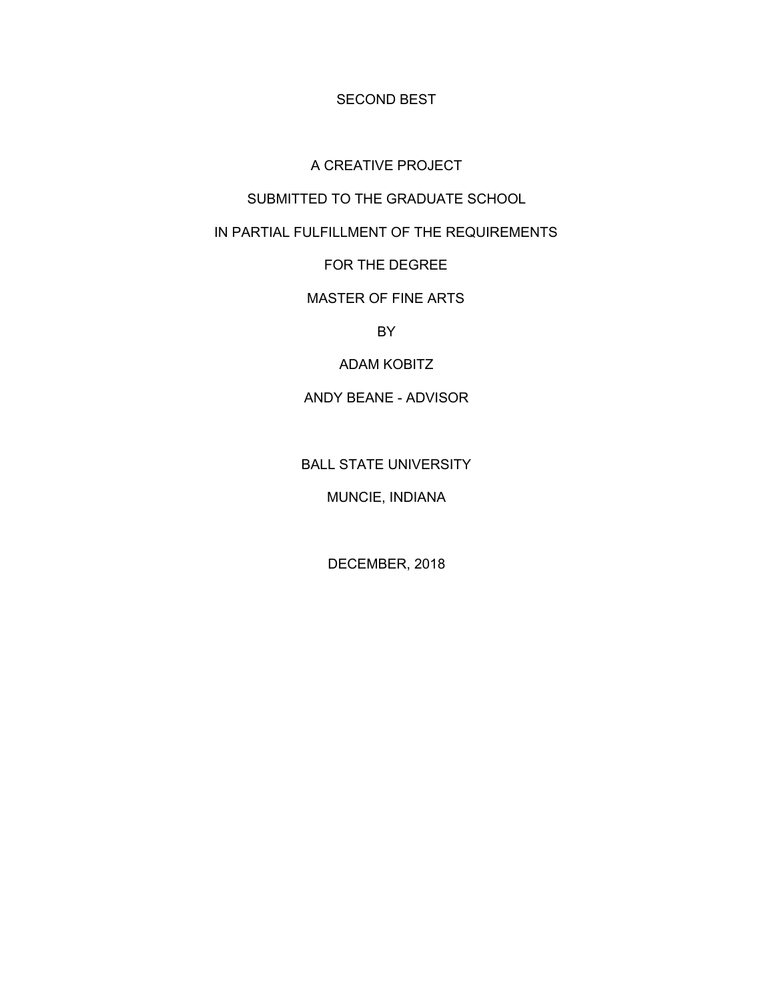SECOND BEST

### A CREATIVE PROJECT

### SUBMITTED TO THE GRADUATE SCHOOL

# IN PARTIAL FULFILLMENT OF THE REQUIREMENTS

## FOR THE DEGREE

### MASTER OF FINE ARTS

BY

### ADAM KOBITZ

# ANDY BEANE - ADVISOR

### BALL STATE UNIVERSITY

# MUNCIE, INDIANA

# DECEMBER, 2018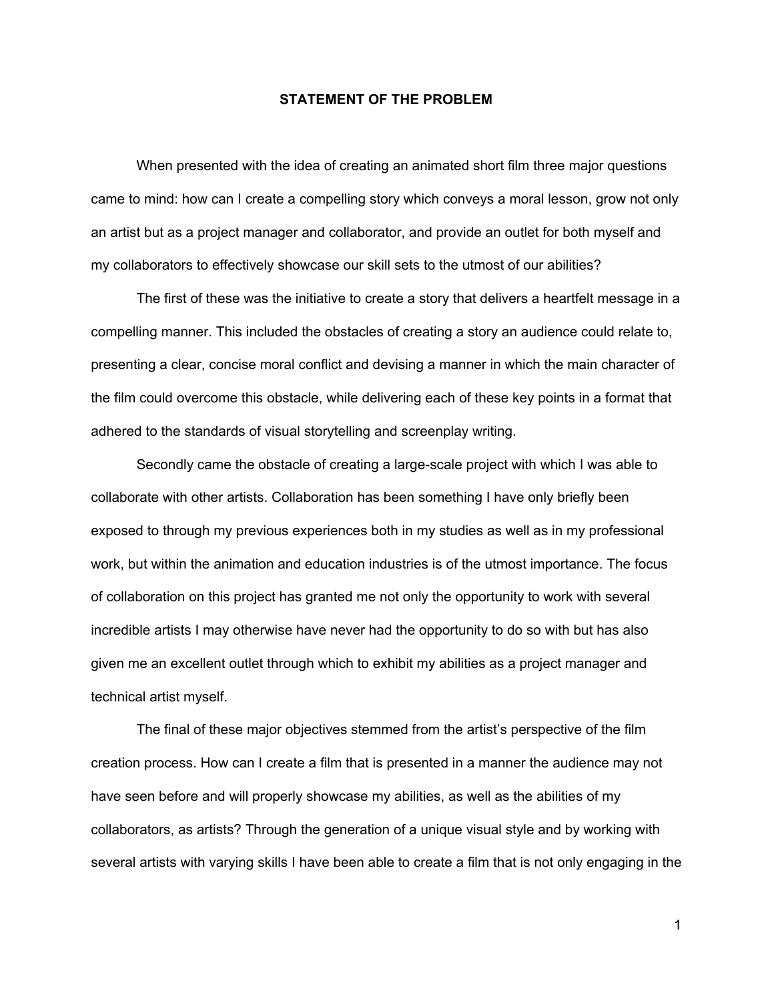#### **STATEMENT OF THE PROBLEM**

When presented with the idea of creating an animated short film three major questions came to mind: how can I create a compelling story which conveys a moral lesson, grow not only an artist but as a project manager and collaborator, and provide an outlet for both myself and my collaborators to effectively showcase our skill sets to the utmost of our abilities?

The first of these was the initiative to create a story that delivers a heartfelt message in a compelling manner. This included the obstacles of creating a story an audience could relate to, presenting a clear, concise moral conflict and devising a manner in which the main character of the film could overcome this obstacle, while delivering each of these key points in a format that adhered to the standards of visual storytelling and screenplay writing.

Secondly came the obstacle of creating a large-scale project with which I was able to collaborate with other artists. Collaboration has been something I have only briefly been exposed to through my previous experiences both in my studies as well as in my professional work, but within the animation and education industries is of the utmost importance. The focus of collaboration on this project has granted me not only the opportunity to work with several incredible artists I may otherwise have never had the opportunity to do so with but has also given me an excellent outlet through which to exhibit my abilities as a project manager and technical artist myself.

The final of these major objectives stemmed from the artist's perspective of the film creation process. How can I create a film that is presented in a manner the audience may not have seen before and will properly showcase my abilities, as well as the abilities of my collaborators, as artists? Through the generation of a unique visual style and by working with several artists with varying skills I have been able to create a film that is not only engaging in the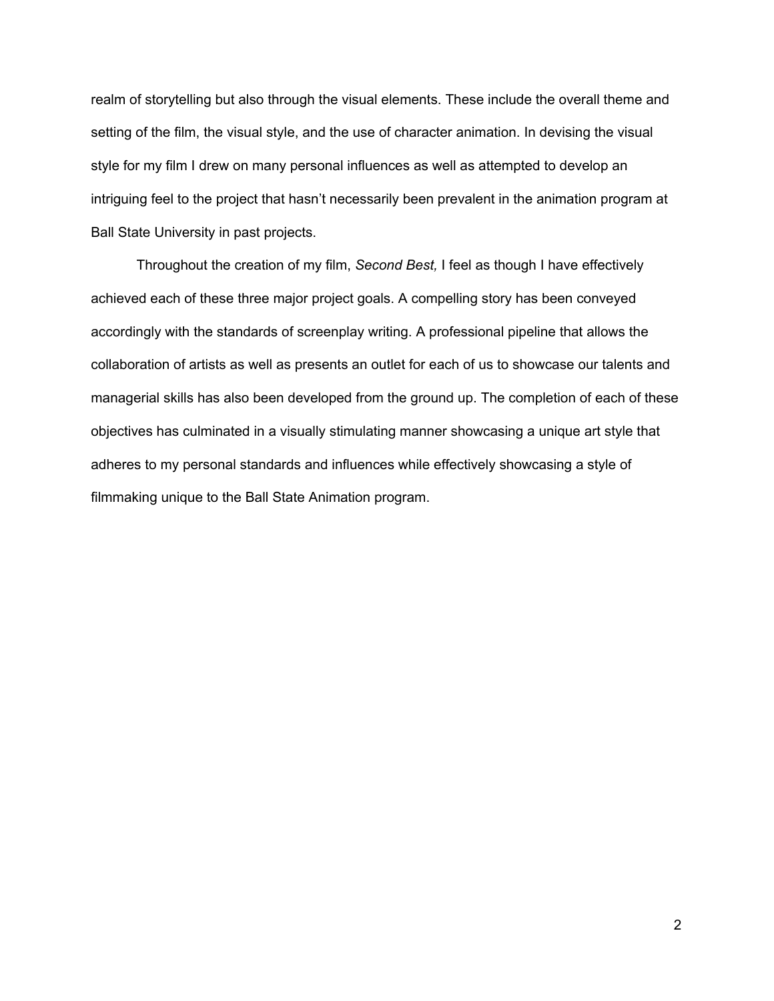realm of storytelling but also through the visual elements. These include the overall theme and setting of the film, the visual style, and the use of character animation. In devising the visual style for my film I drew on many personal influences as well as attempted to develop an intriguing feel to the project that hasn't necessarily been prevalent in the animation program at Ball State University in past projects.

Throughout the creation of my film, *Second Best,* I feel as though I have effectively achieved each of these three major project goals. A compelling story has been conveyed accordingly with the standards of screenplay writing. A professional pipeline that allows the collaboration of artists as well as presents an outlet for each of us to showcase our talents and managerial skills has also been developed from the ground up. The completion of each of these objectives has culminated in a visually stimulating manner showcasing a unique art style that adheres to my personal standards and influences while effectively showcasing a style of filmmaking unique to the Ball State Animation program.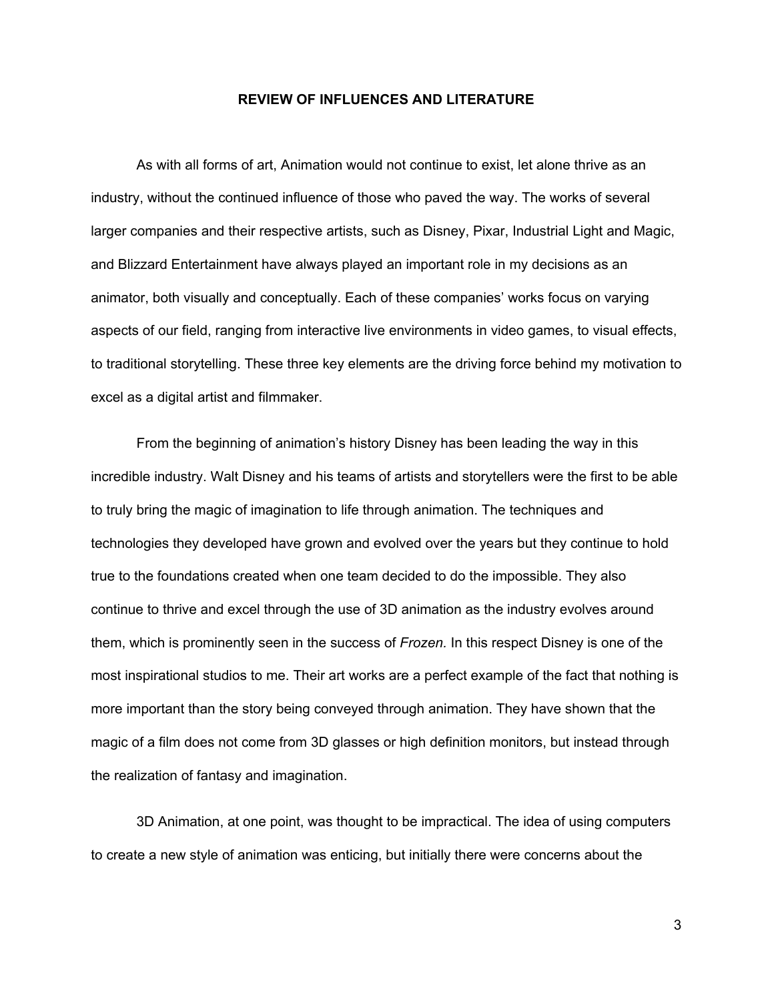#### **REVIEW OF INFLUENCES AND LITERATURE**

As with all forms of art, Animation would not continue to exist, let alone thrive as an industry, without the continued influence of those who paved the way. The works of several larger companies and their respective artists, such as Disney, Pixar, Industrial Light and Magic, and Blizzard Entertainment have always played an important role in my decisions as an animator, both visually and conceptually. Each of these companies' works focus on varying aspects of our field, ranging from interactive live environments in video games, to visual effects, to traditional storytelling. These three key elements are the driving force behind my motivation to excel as a digital artist and filmmaker.

From the beginning of animation's history Disney has been leading the way in this incredible industry. Walt Disney and his teams of artists and storytellers were the first to be able to truly bring the magic of imagination to life through animation. The techniques and technologies they developed have grown and evolved over the years but they continue to hold true to the foundations created when one team decided to do the impossible. They also continue to thrive and excel through the use of 3D animation as the industry evolves around them, which is prominently seen in the success of *Frozen.* In this respect Disney is one of the most inspirational studios to me. Their art works are a perfect example of the fact that nothing is more important than the story being conveyed through animation. They have shown that the magic of a film does not come from 3D glasses or high definition monitors, but instead through the realization of fantasy and imagination.

3D Animation, at one point, was thought to be impractical. The idea of using computers to create a new style of animation was enticing, but initially there were concerns about the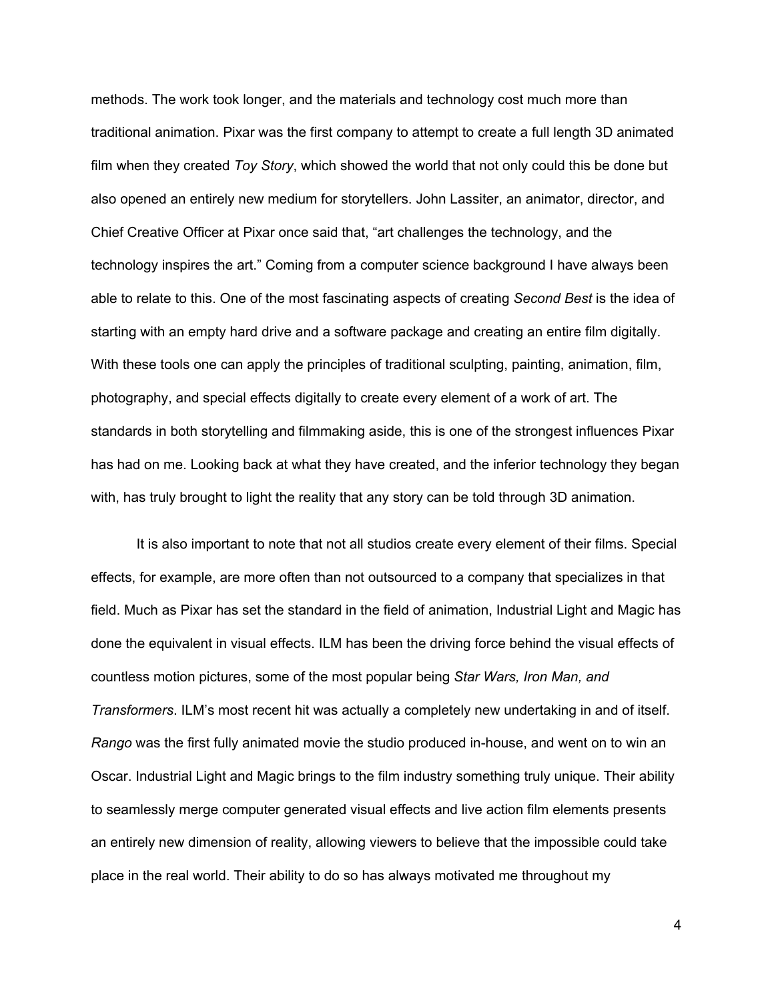methods. The work took longer, and the materials and technology cost much more than traditional animation. Pixar was the first company to attempt to create a full length 3D animated film when they created *Toy Story*, which showed the world that not only could this be done but also opened an entirely new medium for storytellers. John Lassiter, an animator, director, and Chief Creative Officer at Pixar once said that, "art challenges the technology, and the technology inspires the art." Coming from a computer science background I have always been able to relate to this. One of the most fascinating aspects of creating *Second Best* is the idea of starting with an empty hard drive and a software package and creating an entire film digitally. With these tools one can apply the principles of traditional sculpting, painting, animation, film, photography, and special effects digitally to create every element of a work of art. The standards in both storytelling and filmmaking aside, this is one of the strongest influences Pixar has had on me. Looking back at what they have created, and the inferior technology they began with, has truly brought to light the reality that any story can be told through 3D animation.

It is also important to note that not all studios create every element of their films. Special effects, for example, are more often than not outsourced to a company that specializes in that field. Much as Pixar has set the standard in the field of animation, Industrial Light and Magic has done the equivalent in visual effects. ILM has been the driving force behind the visual effects of countless motion pictures, some of the most popular being *Star Wars, Iron Man, and Transformers*. ILM's most recent hit was actually a completely new undertaking in and of itself. *Rango* was the first fully animated movie the studio produced in-house, and went on to win an Oscar. Industrial Light and Magic brings to the film industry something truly unique. Their ability to seamlessly merge computer generated visual effects and live action film elements presents an entirely new dimension of reality, allowing viewers to believe that the impossible could take place in the real world. Their ability to do so has always motivated me throughout my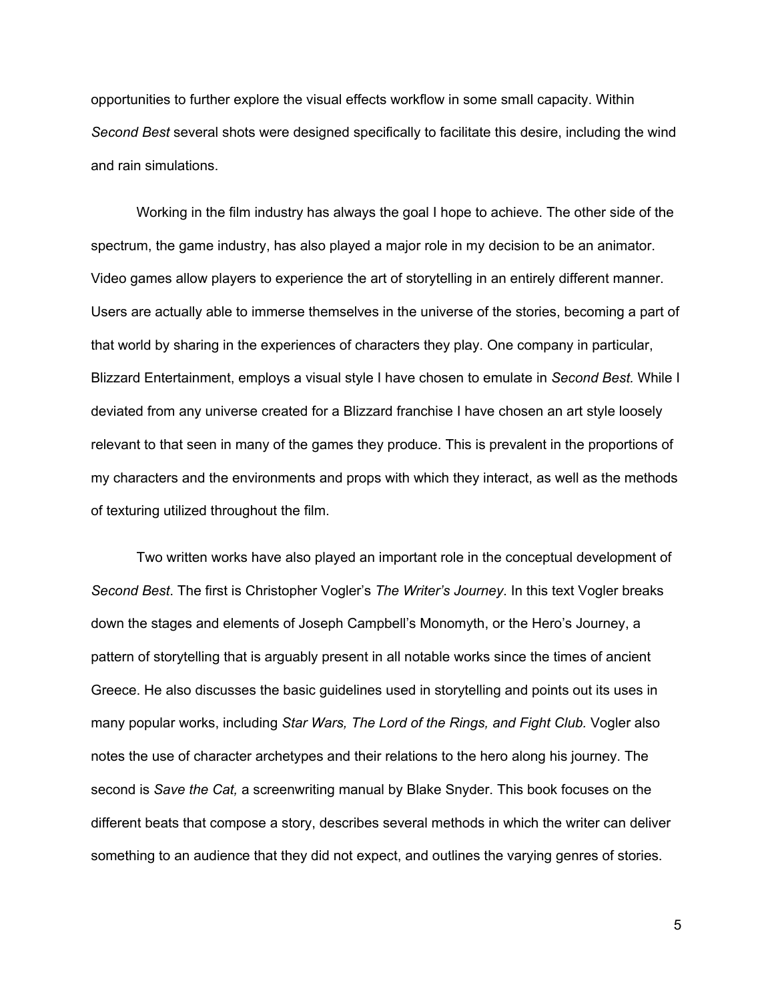opportunities to further explore the visual effects workflow in some small capacity. Within *Second Best* several shots were designed specifically to facilitate this desire, including the wind and rain simulations.

Working in the film industry has always the goal I hope to achieve. The other side of the spectrum, the game industry, has also played a major role in my decision to be an animator. Video games allow players to experience the art of storytelling in an entirely different manner. Users are actually able to immerse themselves in the universe of the stories, becoming a part of that world by sharing in the experiences of characters they play. One company in particular, Blizzard Entertainment, employs a visual style I have chosen to emulate in *Second Best.* While I deviated from any universe created for a Blizzard franchise I have chosen an art style loosely relevant to that seen in many of the games they produce. This is prevalent in the proportions of my characters and the environments and props with which they interact, as well as the methods of texturing utilized throughout the film.

Two written works have also played an important role in the conceptual development of *Second Best*. The first is Christopher Vogler's *The Writer's Journey*. In this text Vogler breaks down the stages and elements of Joseph Campbell's Monomyth, or the Hero's Journey, a pattern of storytelling that is arguably present in all notable works since the times of ancient Greece. He also discusses the basic guidelines used in storytelling and points out its uses in many popular works, including *Star Wars, The Lord of the Rings, and Fight Club.* Vogler also notes the use of character archetypes and their relations to the hero along his journey. The second is *Save the Cat,* a screenwriting manual by Blake Snyder. This book focuses on the different beats that compose a story, describes several methods in which the writer can deliver something to an audience that they did not expect, and outlines the varying genres of stories.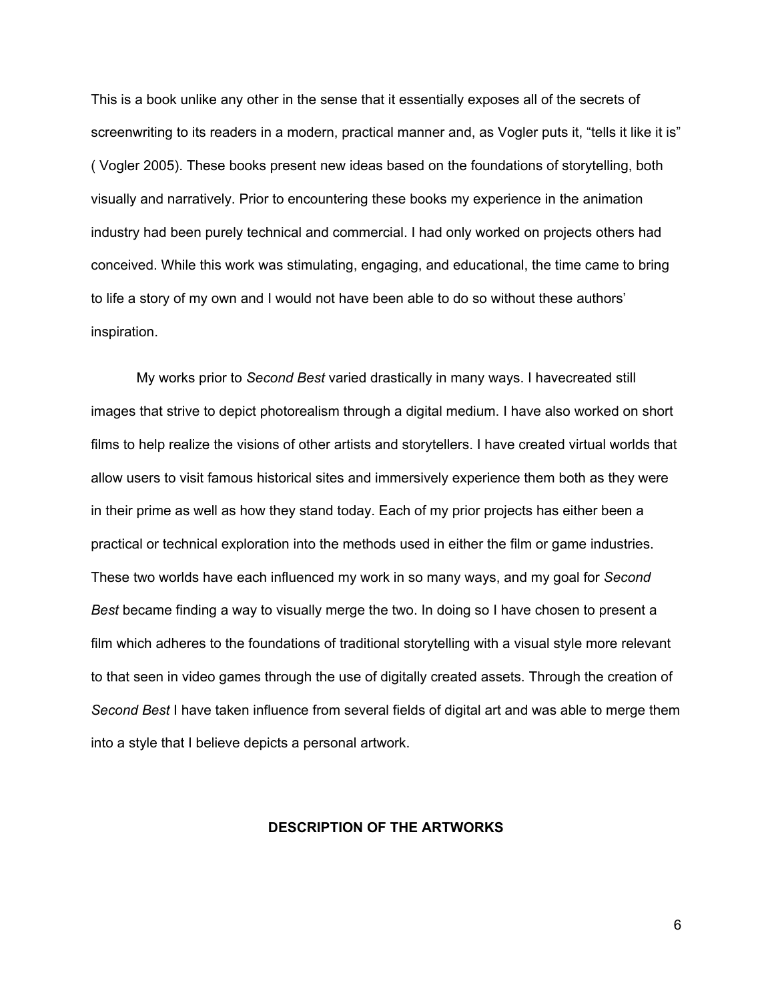This is a book unlike any other in the sense that it essentially exposes all of the secrets of screenwriting to its readers in a modern, practical manner and, as Vogler puts it, "tells it like it is" ( Vogler 2005). These books present new ideas based on the foundations of storytelling, both visually and narratively. Prior to encountering these books my experience in the animation industry had been purely technical and commercial. I had only worked on projects others had conceived. While this work was stimulating, engaging, and educational, the time came to bring to life a story of my own and I would not have been able to do so without these authors' inspiration.

My works prior to *Second Best* varied drastically in many ways. I havecreated still images that strive to depict photorealism through a digital medium. I have also worked on short films to help realize the visions of other artists and storytellers. I have created virtual worlds that allow users to visit famous historical sites and immersively experience them both as they were in their prime as well as how they stand today. Each of my prior projects has either been a practical or technical exploration into the methods used in either the film or game industries. These two worlds have each influenced my work in so many ways, and my goal for *Second Best* became finding a way to visually merge the two. In doing so I have chosen to present a film which adheres to the foundations of traditional storytelling with a visual style more relevant to that seen in video games through the use of digitally created assets. Through the creation of *Second Best* I have taken influence from several fields of digital art and was able to merge them into a style that I believe depicts a personal artwork.

### **DESCRIPTION OF THE ARTWORKS**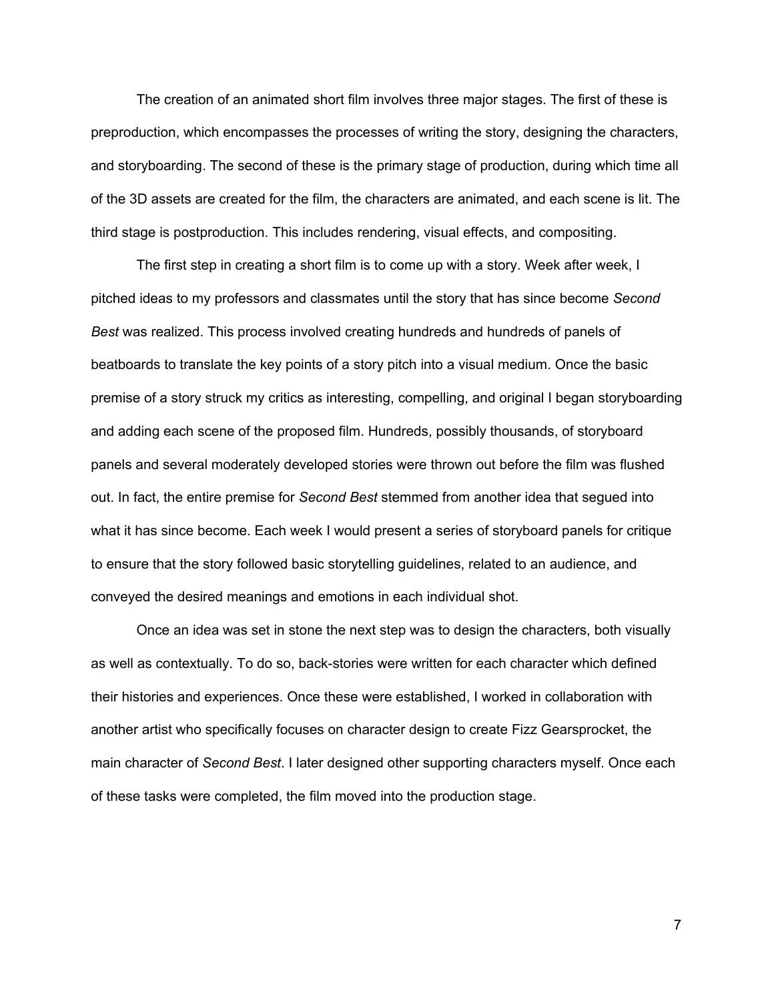The creation of an animated short film involves three major stages. The first of these is preproduction, which encompasses the processes of writing the story, designing the characters, and storyboarding. The second of these is the primary stage of production, during which time all of the 3D assets are created for the film, the characters are animated, and each scene is lit. The third stage is postproduction. This includes rendering, visual effects, and compositing.

The first step in creating a short film is to come up with a story. Week after week, I pitched ideas to my professors and classmates until the story that has since become *Second Best* was realized. This process involved creating hundreds and hundreds of panels of beatboards to translate the key points of a story pitch into a visual medium. Once the basic premise of a story struck my critics as interesting, compelling, and original I began storyboarding and adding each scene of the proposed film. Hundreds, possibly thousands, of storyboard panels and several moderately developed stories were thrown out before the film was flushed out. In fact, the entire premise for *Second Best* stemmed from another idea that segued into what it has since become. Each week I would present a series of storyboard panels for critique to ensure that the story followed basic storytelling guidelines, related to an audience, and conveyed the desired meanings and emotions in each individual shot.

Once an idea was set in stone the next step was to design the characters, both visually as well as contextually. To do so, back-stories were written for each character which defined their histories and experiences. Once these were established, I worked in collaboration with another artist who specifically focuses on character design to create Fizz Gearsprocket, the main character of *Second Best*. I later designed other supporting characters myself. Once each of these tasks were completed, the film moved into the production stage.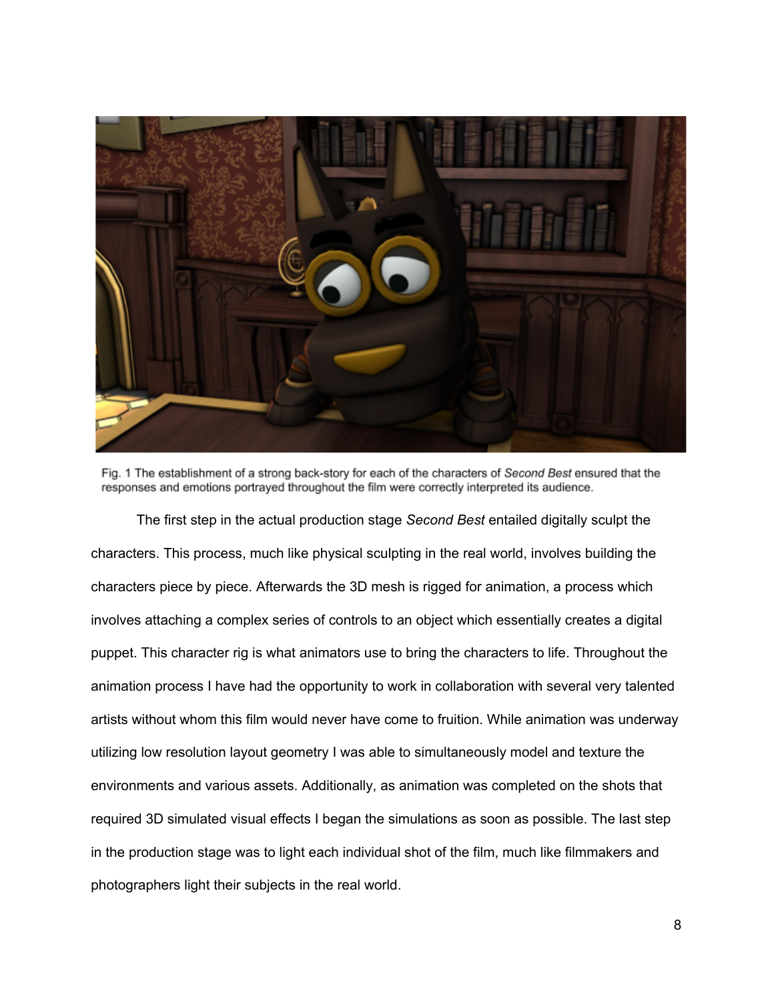

Fig. 1 The establishment of a strong back-story for each of the characters of Second Best ensured that the responses and emotions portrayed throughout the film were correctly interpreted its audience.

The first step in the actual production stage *Second Best* entailed digitally sculpt the characters. This process, much like physical sculpting in the real world, involves building the characters piece by piece. Afterwards the 3D mesh is rigged for animation, a process which involves attaching a complex series of controls to an object which essentially creates a digital puppet. This character rig is what animators use to bring the characters to life. Throughout the animation process I have had the opportunity to work in collaboration with several very talented artists without whom this film would never have come to fruition. While animation was underway utilizing low resolution layout geometry I was able to simultaneously model and texture the environments and various assets. Additionally, as animation was completed on the shots that required 3D simulated visual effects I began the simulations as soon as possible. The last step in the production stage was to light each individual shot of the film, much like filmmakers and photographers light their subjects in the real world.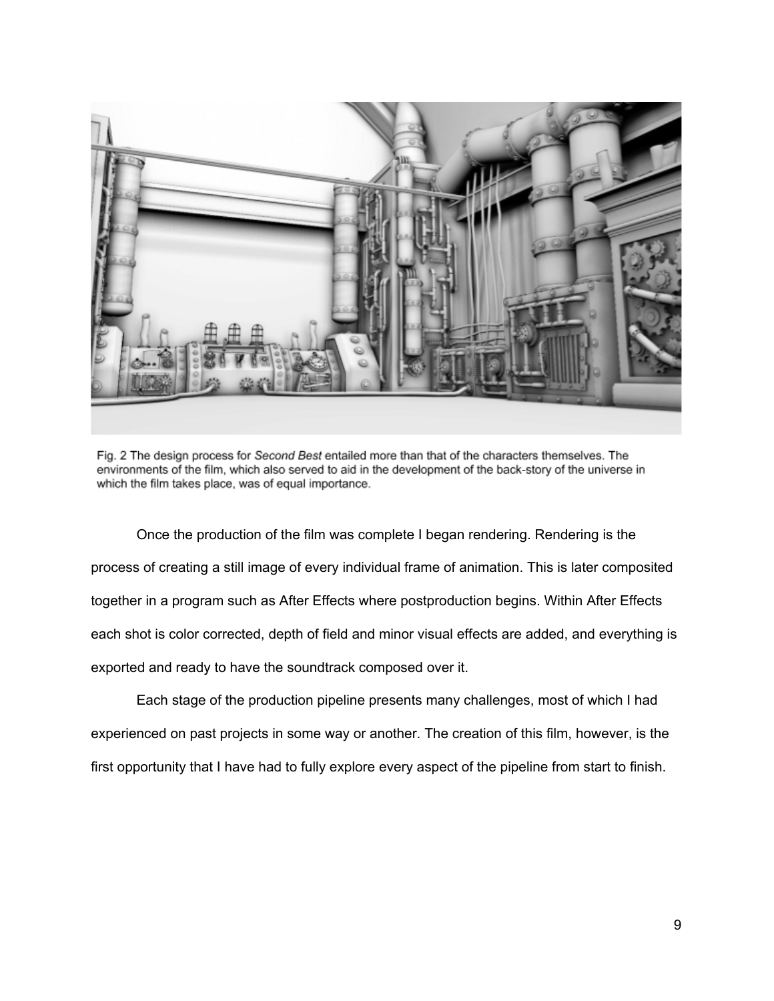

Fig. 2 The design process for Second Best entailed more than that of the characters themselves. The environments of the film, which also served to aid in the development of the back-story of the universe in which the film takes place, was of equal importance.

Once the production of the film was complete I began rendering. Rendering is the process of creating a still image of every individual frame of animation. This is later composited together in a program such as After Effects where postproduction begins. Within After Effects each shot is color corrected, depth of field and minor visual effects are added, and everything is exported and ready to have the soundtrack composed over it.

Each stage of the production pipeline presents many challenges, most of which I had experienced on past projects in some way or another. The creation of this film, however, is the first opportunity that I have had to fully explore every aspect of the pipeline from start to finish.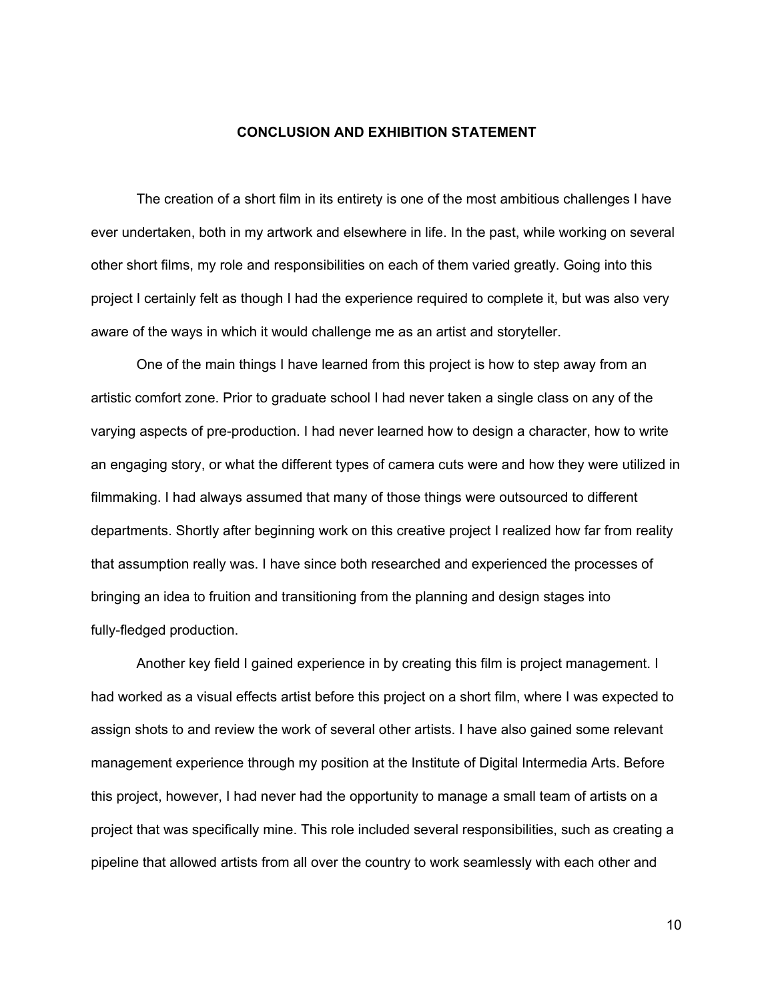#### **CONCLUSION AND EXHIBITION STATEMENT**

The creation of a short film in its entirety is one of the most ambitious challenges I have ever undertaken, both in my artwork and elsewhere in life. In the past, while working on several other short films, my role and responsibilities on each of them varied greatly. Going into this project I certainly felt as though I had the experience required to complete it, but was also very aware of the ways in which it would challenge me as an artist and storyteller.

One of the main things I have learned from this project is how to step away from an artistic comfort zone. Prior to graduate school I had never taken a single class on any of the varying aspects of pre-production. I had never learned how to design a character, how to write an engaging story, or what the different types of camera cuts were and how they were utilized in filmmaking. I had always assumed that many of those things were outsourced to different departments. Shortly after beginning work on this creative project I realized how far from reality that assumption really was. I have since both researched and experienced the processes of bringing an idea to fruition and transitioning from the planning and design stages into fully-fledged production.

Another key field I gained experience in by creating this film is project management. I had worked as a visual effects artist before this project on a short film, where I was expected to assign shots to and review the work of several other artists. I have also gained some relevant management experience through my position at the Institute of Digital Intermedia Arts. Before this project, however, I had never had the opportunity to manage a small team of artists on a project that was specifically mine. This role included several responsibilities, such as creating a pipeline that allowed artists from all over the country to work seamlessly with each other and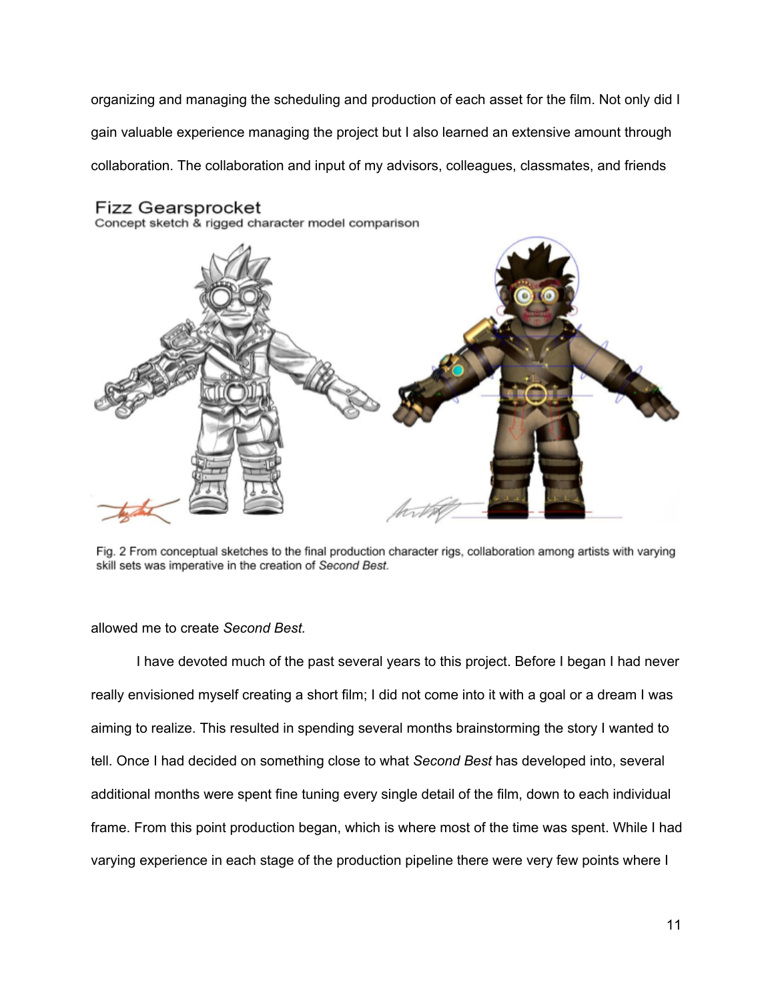organizing and managing the scheduling and production of each asset for the film. Not only did I gain valuable experience managing the project but I also learned an extensive amount through collaboration. The collaboration and input of my advisors, colleagues, classmates, and friends



Concept sketch & rigged character model comparison



Fig. 2 From conceptual sketches to the final production character rigs, collaboration among artists with varying skill sets was imperative in the creation of Second Best.

allowed me to create *Second Best.*

I have devoted much of the past several years to this project. Before I began I had never really envisioned myself creating a short film; I did not come into it with a goal or a dream I was aiming to realize. This resulted in spending several months brainstorming the story I wanted to tell. Once I had decided on something close to what *Second Best* has developed into, several additional months were spent fine tuning every single detail of the film, down to each individual frame. From this point production began, which is where most of the time was spent. While I had varying experience in each stage of the production pipeline there were very few points where I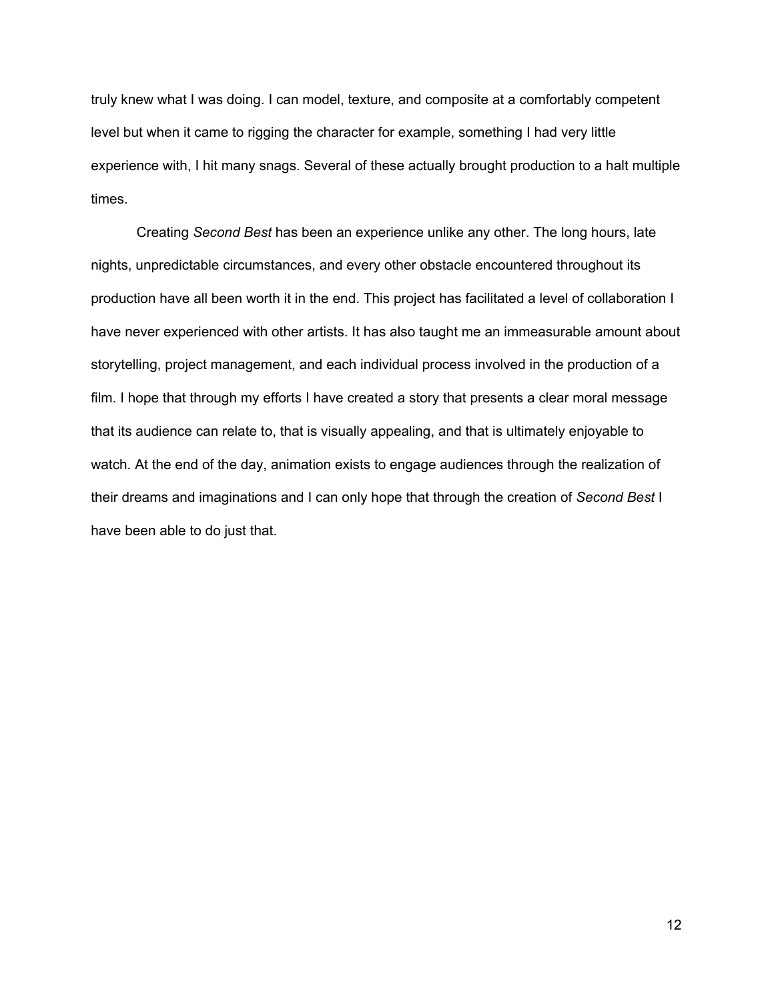truly knew what I was doing. I can model, texture, and composite at a comfortably competent level but when it came to rigging the character for example, something I had very little experience with, I hit many snags. Several of these actually brought production to a halt multiple times.

Creating *Second Best* has been an experience unlike any other. The long hours, late nights, unpredictable circumstances, and every other obstacle encountered throughout its production have all been worth it in the end. This project has facilitated a level of collaboration I have never experienced with other artists. It has also taught me an immeasurable amount about storytelling, project management, and each individual process involved in the production of a film. I hope that through my efforts I have created a story that presents a clear moral message that its audience can relate to, that is visually appealing, and that is ultimately enjoyable to watch. At the end of the day, animation exists to engage audiences through the realization of their dreams and imaginations and I can only hope that through the creation of *Second Best* I have been able to do just that.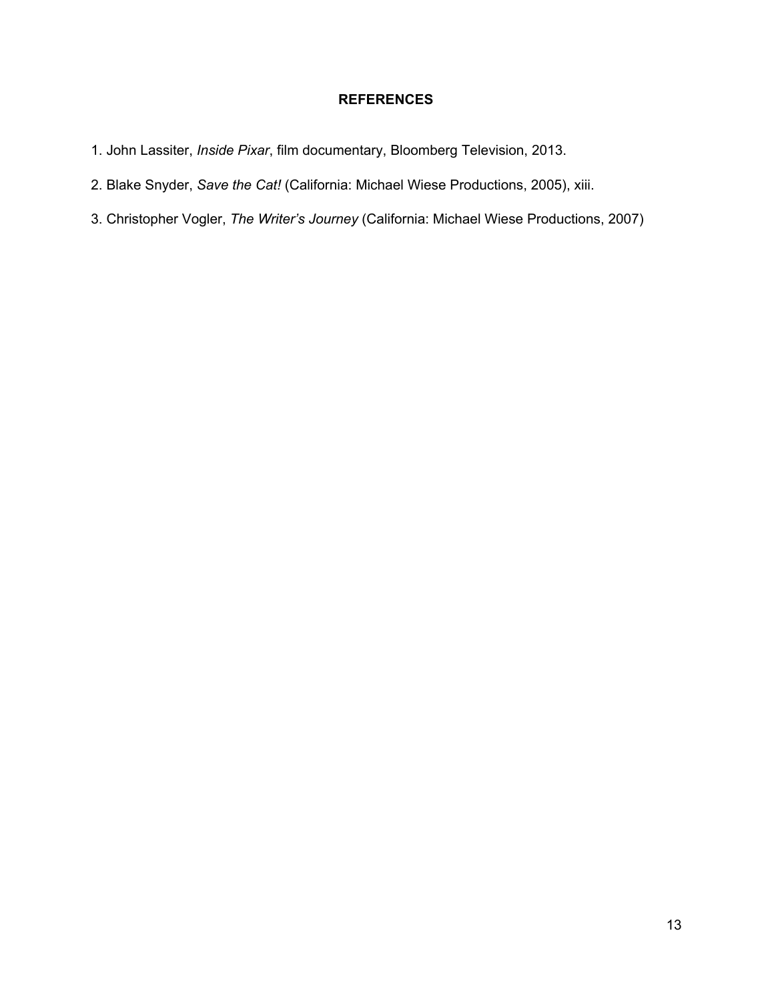## **REFERENCES**

- 1. John Lassiter, *Inside Pixar*, film documentary, Bloomberg Television, 2013.
- 2. Blake Snyder, *Save the Cat!* (California: Michael Wiese Productions, 2005), xiii.
- 3. Christopher Vogler, *The Writer's Journey* (California: Michael Wiese Productions, 2007)